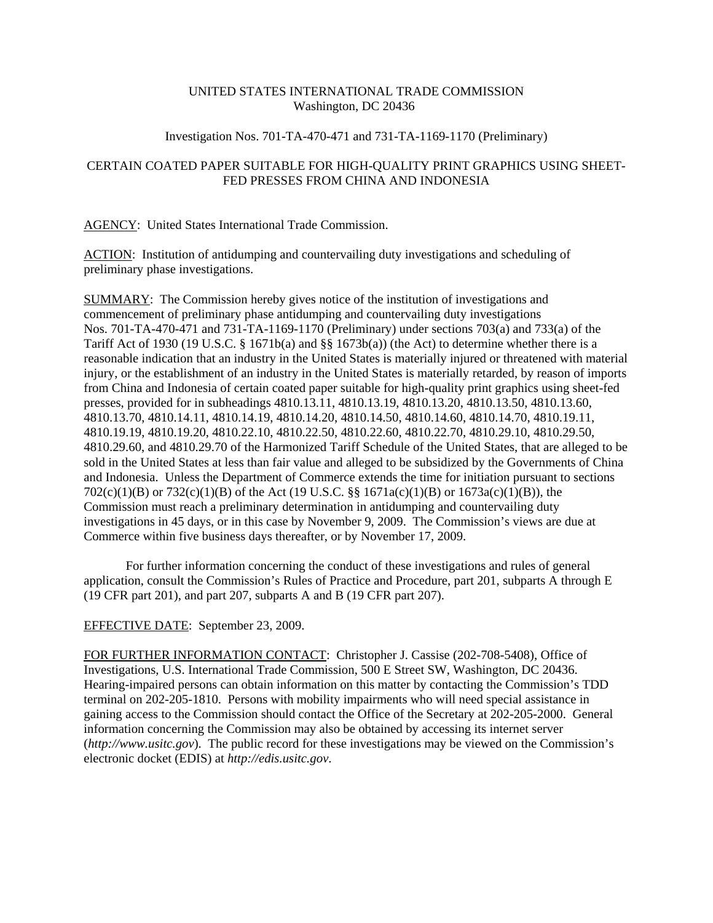## UNITED STATES INTERNATIONAL TRADE COMMISSION Washington, DC 20436

### Investigation Nos. 701-TA-470-471 and 731-TA-1169-1170 (Preliminary)

# CERTAIN COATED PAPER SUITABLE FOR HIGH-QUALITY PRINT GRAPHICS USING SHEET-FED PRESSES FROM CHINA AND INDONESIA

## AGENCY: United States International Trade Commission.

ACTION: Institution of antidumping and countervailing duty investigations and scheduling of preliminary phase investigations.

SUMMARY: The Commission hereby gives notice of the institution of investigations and commencement of preliminary phase antidumping and countervailing duty investigations Nos. 701-TA-470-471 and 731-TA-1169-1170 (Preliminary) under sections 703(a) and 733(a) of the Tariff Act of 1930 (19 U.S.C. § 1671b(a) and §§ 1673b(a)) (the Act) to determine whether there is a reasonable indication that an industry in the United States is materially injured or threatened with material injury, or the establishment of an industry in the United States is materially retarded, by reason of imports from China and Indonesia of certain coated paper suitable for high-quality print graphics using sheet-fed presses, provided for in subheadings 4810.13.11, 4810.13.19, 4810.13.20, 4810.13.50, 4810.13.60, 4810.13.70, 4810.14.11, 4810.14.19, 4810.14.20, 4810.14.50, 4810.14.60, 4810.14.70, 4810.19.11, 4810.19.19, 4810.19.20, 4810.22.10, 4810.22.50, 4810.22.60, 4810.22.70, 4810.29.10, 4810.29.50, 4810.29.60, and 4810.29.70 of the Harmonized Tariff Schedule of the United States, that are alleged to be sold in the United States at less than fair value and alleged to be subsidized by the Governments of China and Indonesia. Unless the Department of Commerce extends the time for initiation pursuant to sections 702(c)(1)(B) or 732(c)(1)(B) of the Act (19 U.S.C. §§ 1671a(c)(1)(B) or 1673a(c)(1)(B)), the Commission must reach a preliminary determination in antidumping and countervailing duty investigations in 45 days, or in this case by November 9, 2009. The Commission's views are due at Commerce within five business days thereafter, or by November 17, 2009.

For further information concerning the conduct of these investigations and rules of general application, consult the Commission's Rules of Practice and Procedure, part 201, subparts A through E (19 CFR part 201), and part 207, subparts A and B (19 CFR part 207).

#### EFFECTIVE DATE: September 23, 2009.

FOR FURTHER INFORMATION CONTACT: Christopher J. Cassise (202-708-5408), Office of Investigations, U.S. International Trade Commission, 500 E Street SW, Washington, DC 20436. Hearing-impaired persons can obtain information on this matter by contacting the Commission's TDD terminal on 202-205-1810. Persons with mobility impairments who will need special assistance in gaining access to the Commission should contact the Office of the Secretary at 202-205-2000. General information concerning the Commission may also be obtained by accessing its internet server (*http://www.usitc.gov*). The public record for these investigations may be viewed on the Commission's electronic docket (EDIS) at *http://edis.usitc.gov*.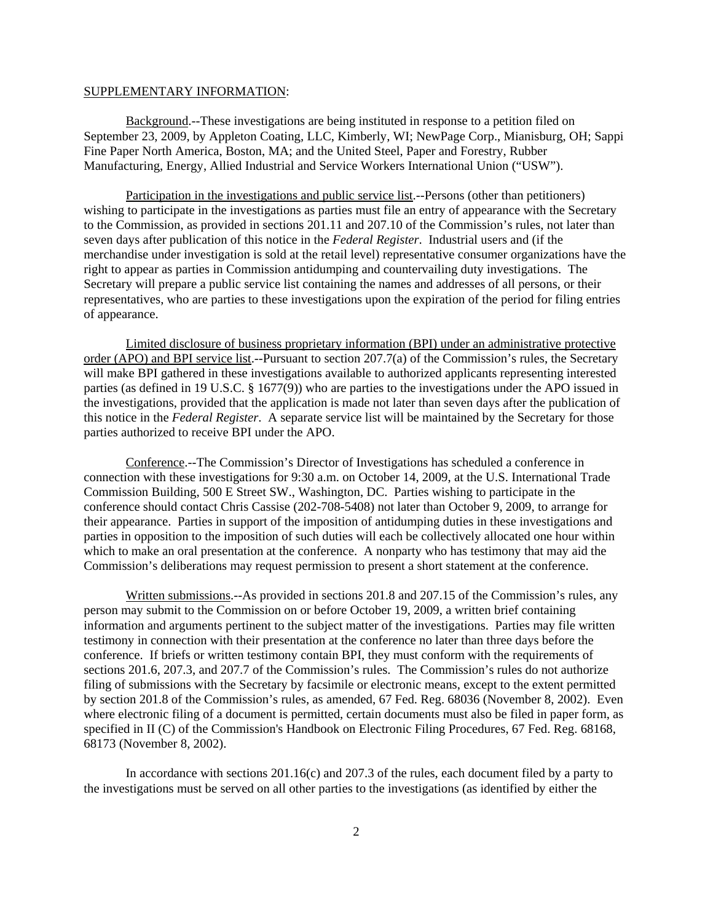#### SUPPLEMENTARY INFORMATION:

Background.--These investigations are being instituted in response to a petition filed on September 23, 2009, by Appleton Coating, LLC, Kimberly, WI; NewPage Corp., Mianisburg, OH; Sappi Fine Paper North America, Boston, MA; and the United Steel, Paper and Forestry, Rubber Manufacturing, Energy, Allied Industrial and Service Workers International Union ("USW").

Participation in the investigations and public service list.--Persons (other than petitioners) wishing to participate in the investigations as parties must file an entry of appearance with the Secretary to the Commission, as provided in sections 201.11 and 207.10 of the Commission's rules, not later than seven days after publication of this notice in the *Federal Register*. Industrial users and (if the merchandise under investigation is sold at the retail level) representative consumer organizations have the right to appear as parties in Commission antidumping and countervailing duty investigations. The Secretary will prepare a public service list containing the names and addresses of all persons, or their representatives, who are parties to these investigations upon the expiration of the period for filing entries of appearance.

Limited disclosure of business proprietary information (BPI) under an administrative protective order (APO) and BPI service list.--Pursuant to section 207.7(a) of the Commission's rules, the Secretary will make BPI gathered in these investigations available to authorized applicants representing interested parties (as defined in 19 U.S.C. § 1677(9)) who are parties to the investigations under the APO issued in the investigations, provided that the application is made not later than seven days after the publication of this notice in the *Federal Register*. A separate service list will be maintained by the Secretary for those parties authorized to receive BPI under the APO.

Conference.--The Commission's Director of Investigations has scheduled a conference in connection with these investigations for 9:30 a.m. on October 14, 2009, at the U.S. International Trade Commission Building, 500 E Street SW., Washington, DC. Parties wishing to participate in the conference should contact Chris Cassise (202-708-5408) not later than October 9, 2009, to arrange for their appearance. Parties in support of the imposition of antidumping duties in these investigations and parties in opposition to the imposition of such duties will each be collectively allocated one hour within which to make an oral presentation at the conference. A nonparty who has testimony that may aid the Commission's deliberations may request permission to present a short statement at the conference.

Written submissions.--As provided in sections 201.8 and 207.15 of the Commission's rules, any person may submit to the Commission on or before October 19, 2009, a written brief containing information and arguments pertinent to the subject matter of the investigations. Parties may file written testimony in connection with their presentation at the conference no later than three days before the conference. If briefs or written testimony contain BPI, they must conform with the requirements of sections 201.6, 207.3, and 207.7 of the Commission's rules. The Commission's rules do not authorize filing of submissions with the Secretary by facsimile or electronic means, except to the extent permitted by section 201.8 of the Commission's rules, as amended, 67 Fed. Reg. 68036 (November 8, 2002). Even where electronic filing of a document is permitted, certain documents must also be filed in paper form, as specified in II (C) of the Commission's Handbook on Electronic Filing Procedures, 67 Fed. Reg. 68168, 68173 (November 8, 2002).

In accordance with sections 201.16(c) and 207.3 of the rules, each document filed by a party to the investigations must be served on all other parties to the investigations (as identified by either the